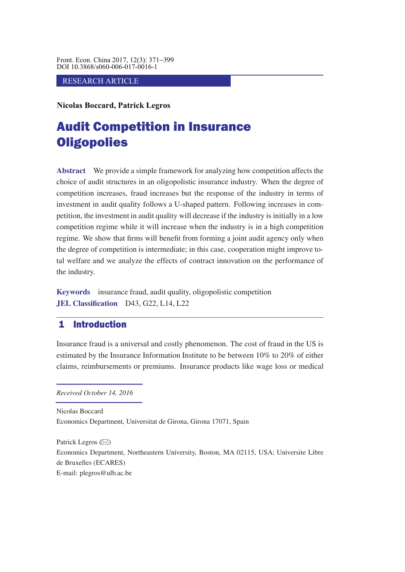Front. Econ. China 2017, 12(3): 371−399 DOI 10.3868/s060-006-017-0016-1

### RESEARCH ARTICLE

**Nicolas Boccard, Patrick Legros**

# Audit Competition in Insurance **Oligopolies**

**Abstract** We provide a simple framework for analyzing how competition affects the choice of audit structures in an oligopolistic insurance industry. When the degree of competition increases, fraud increases but the response of the industry in terms of investment in audit quality follows a U-shaped pattern. Following increases in competition, the investment in audit quality will decrease if the industry is initially in a low competition regime while it will increase when the industry is in a high competition regime. We show that firms will benefit from forming a joint audit agency only when the degree of competition is intermediate; in this case, cooperation might improve total welfare and we analyze the effects of contract innovation on the performance of the industry.

**Keywords** insurance fraud, audit quality, oligopolistic competition **JEL Classification** D43, G22, L14, L22

# 1 Introduction

Insurance fraud is a universal and costly phenomenon. The cost of fraud in the US is estimated by the Insurance Information Institute to be between 10% to 20% of either claims, reimbursements or premiums. Insurance products like wage loss or medical

*Received October 14, 2016*

Nicolas Boccard Economics Department, Universitat de Girona, Girona 17071, Spain

Patrick Legros  $(\boxtimes)$ Economics Department, Northeastern University, Boston, MA 02115, USA; Universite Libre de Bruxelles (ECARES) E-mail: plegros@ulb.ac.be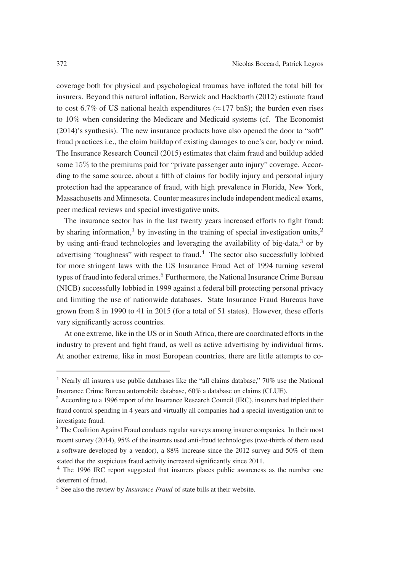coverage both for physical and psychological traumas have inflated the total bill for insurers. Beyond this natural inflation, Berwick and Hackbarth (2012) estimate fraud to cost 6.7% of US national health expenditures ( $\approx$ 177 bn\$); the burden even rises to 10% when considering the Medicare and Medicaid systems (cf. The Economist (2014)'s synthesis). The new insurance products have also opened the door to "soft" fraud practices i.e., the claim buildup of existing damages to one's car, body or mind. The Insurance Research Council (2015) estimates that claim fraud and buildup added some 15% to the premiums paid for "private passenger auto injury" coverage. According to the same source, about a fifth of claims for bodily injury and personal injury protection had the appearance of fraud, with high prevalence in Florida, New York, Massachusetts and Minnesota. Counter measures include independent medical exams, peer medical reviews and special investigative units.

The insurance sector has in the last twenty years increased efforts to fight fraud: by sharing information,<sup>1</sup> by investing in the training of special investigation units,<sup>2</sup> by using anti-fraud technologies and leveraging the availability of big-data,<sup>3</sup> or by advertising "toughness" with respect to fraud.<sup>4</sup> The sector also successfully lobbied for more stringent laws with the US Insurance Fraud Act of 1994 turning several types of fraud into federal crimes.<sup>5</sup> Furthermore, the National Insurance Crime Bureau (NICB) successfully lobbied in 1999 against a federal bill protecting personal privacy and limiting the use of nationwide databases. State Insurance Fraud Bureaus have grown from 8 in 1990 to 41 in 2015 (for a total of 51 states). However, these efforts vary significantly across countries.

At one extreme, like in the US or in South Africa, there are coordinated efforts in the industry to prevent and fight fraud, as well as active advertising by individual firms. At another extreme, like in most European countries, there are little attempts to co-

<sup>&</sup>lt;sup>1</sup> Nearly all insurers use public databases like the "all claims database,"  $70\%$  use the National Insurance Crime Bureau automobile database, 60% a database on claims (CLUE).

<sup>&</sup>lt;sup>2</sup> According to a 1996 report of the Insurance Research Council (IRC), insurers had tripled their fraud control spending in 4 years and virtually all companies had a special investigation unit to investigate fraud.

<sup>&</sup>lt;sup>3</sup> The Coalition Against Fraud conducts regular surveys among insurer companies. In their most recent survey (2014), 95% of the insurers used anti-fraud technologies (two-thirds of them used a software developed by a vendor), a 88% increase since the 2012 survey and 50% of them stated that the suspicious fraud activity increased significantly since 2011.

<sup>&</sup>lt;sup>4</sup> The 1996 IRC report suggested that insurers places public awareness as the number one deterrent of fraud.

<sup>5</sup> See also the review by *Insurance Fraud* of state bills at their website.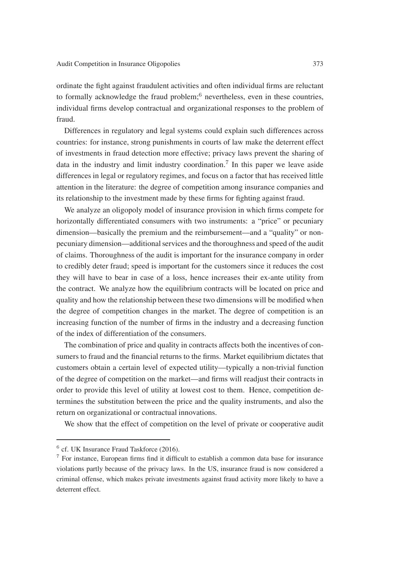ordinate the fight against fraudulent activities and often individual firms are reluctant to formally acknowledge the fraud problem;<sup>6</sup> nevertheless, even in these countries. individual firms develop contractual and organizational responses to the problem of fraud.

Differences in regulatory and legal systems could explain such differences across countries: for instance, strong punishments in courts of law make the deterrent effect of investments in fraud detection more effective; privacy laws prevent the sharing of data in the industry and limit industry coordination.<sup>7</sup> In this paper we leave aside differences in legal or regulatory regimes, and focus on a factor that has received little attention in the literature: the degree of competition among insurance companies and its relationship to the investment made by these firms for fighting against fraud.

We analyze an oligopoly model of insurance provision in which firms compete for horizontally differentiated consumers with two instruments: a "price" or pecuniary dimension—basically the premium and the reimbursement—and a "quality" or nonpecuniary dimension—additional services and the thoroughness and speed of the audit of claims. Thoroughness of the audit is important for the insurance company in order to credibly deter fraud; speed is important for the customers since it reduces the cost they will have to bear in case of a loss, hence increases their ex-ante utility from the contract. We analyze how the equilibrium contracts will be located on price and quality and how the relationship between these two dimensions will be modified when the degree of competition changes in the market. The degree of competition is an increasing function of the number of firms in the industry and a decreasing function of the index of differentiation of the consumers.

The combination of price and quality in contracts affects both the incentives of consumers to fraud and the financial returns to the firms. Market equilibrium dictates that customers obtain a certain level of expected utility—typically a non-trivial function of the degree of competition on the market—and firms will readjust their contracts in order to provide this level of utility at lowest cost to them. Hence, competition determines the substitution between the price and the quality instruments, and also the return on organizational or contractual innovations.

We show that the effect of competition on the level of private or cooperative audit

 $6$  cf. UK Insurance Fraud Taskforce (2016).

<sup>7</sup> For instance, European firms find it difficult to establish a common data base for insurance violations partly because of the privacy laws. In the US, insurance fraud is now considered a criminal offense, which makes private investments against fraud activity more likely to have a deterrent effect.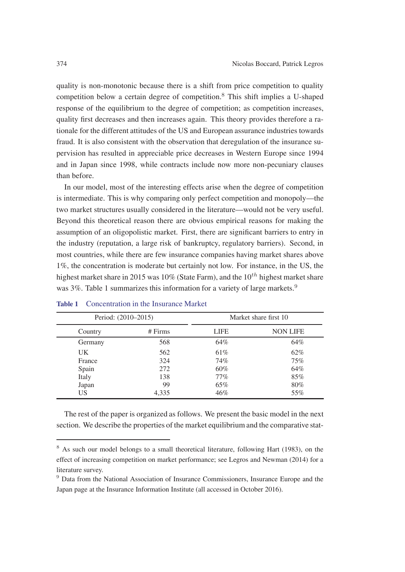quality is non-monotonic because there is a shift from price competition to quality competition below a certain degree of competition.<sup>8</sup> This shift implies a U-shaped response of the equilibrium to the degree of competition; as competition increases, quality first decreases and then increases again. This theory provides therefore a rationale for the different attitudes of the US and European assurance industries towards fraud. It is also consistent with the observation that deregulation of the insurance supervision has resulted in appreciable price decreases in Western Europe since 1994 and in Japan since 1998, while contracts include now more non-pecuniary clauses than before.

In our model, most of the interesting effects arise when the degree of competition is intermediate. This is why comparing only perfect competition and monopoly—the two market structures usually considered in the literature—would not be very useful. Beyond this theoretical reason there are obvious empirical reasons for making the assumption of an oligopolistic market. First, there are significant barriers to entry in the industry (reputation, a large risk of bankruptcy, regulatory barriers). Second, in most countries, while there are few insurance companies having market shares above 1%, the concentration is moderate but certainly not low. For instance, in the US, the highest market share in 2015 was 10% (State Farm), and the  $10^{th}$  highest market share was  $3\%$ . Table 1 summarizes this information for a variety of large markets.<sup>9</sup>

| Period: (2010–2015) |           | Market share first 10 |                 |
|---------------------|-----------|-----------------------|-----------------|
| Country             | $#$ Firms | <b>LIFE</b>           | <b>NON LIFE</b> |
| Germany             | 568       | 64%                   | 64%             |
| UK                  | 562       | 61\%                  | 62%             |
| France              | 324       | 74%                   | 75%             |
| Spain               | 272       | $60\%$                | 64%             |
| Italy               | 138       | $77\%$                | 85%             |
| Japan               | 99        | 65%                   | 80%             |
| US                  | 4.335     | 46%                   | 55%             |

### **Table 1** Concentration in the Insurance Market

The rest of the paper is organized as follows. We present the basic model in the next section. We describe the properties of the market equilibrium and the comparative stat-

<sup>&</sup>lt;sup>8</sup> As such our model belongs to a small theoretical literature, following Hart (1983), on the effect of increasing competition on market performance; see Legros and Newman (2014) for a literature survey.

<sup>9</sup> Data from the National Association of Insurance Commissioners, Insurance Europe and the Japan page at the Insurance Information Institute (all accessed in October 2016).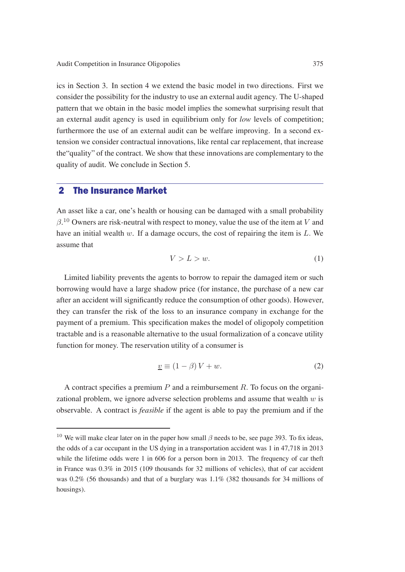ics in Section 3. In section 4 we extend the basic model in two directions. First we consider the possibility for the industry to use an external audit agency. The U-shaped pattern that we obtain in the basic model implies the somewhat surprising result that an external audit agency is used in equilibrium only for *low* levels of competition; furthermore the use of an external audit can be welfare improving. In a second extension we consider contractual innovations, like rental car replacement, that increase the"quality" of the contract. We show that these innovations are complementary to the quality of audit. We conclude in Section 5.

# 2 The Insurance Market

An asset like a car, one's health or housing can be damaged with a small probability  $\beta$ .<sup>10</sup> Owners are risk-neutral with respect to money, value the use of the item at V and have an initial wealth  $w$ . If a damage occurs, the cost of repairing the item is  $L$ . We assume that

$$
V > L > w.\t\t(1)
$$

Limited liability prevents the agents to borrow to repair the damaged item or such borrowing would have a large shadow price (for instance, the purchase of a new car after an accident will significantly reduce the consumption of other goods). However, they can transfer the risk of the loss to an insurance company in exchange for the payment of a premium. This specification makes the model of oligopoly competition tractable and is a reasonable alternative to the usual formalization of a concave utility function for money. The reservation utility of a consumer is

$$
\underline{v} \equiv (1 - \beta)V + w. \tag{2}
$$

A contract specifies a premium  $P$  and a reimbursement  $R$ . To focus on the organizational problem, we ignore adverse selection problems and assume that wealth  $w$  is observable. A contract is *feasible* if the agent is able to pay the premium and if the

<sup>&</sup>lt;sup>10</sup> We will make clear later on in the paper how small  $\beta$  needs to be, see page 393. To fix ideas, the odds of a car occupant in the US dying in a transportation accident was 1 in 47,718 in 2013 while the lifetime odds were 1 in 606 for a person born in 2013. The frequency of car theft in France was  $0.3\%$  in 2015 (109 thousands for 32 millions of vehicles), that of car accident was 0.2% (56 thousands) and that of a burglary was 1.1% (382 thousands for 34 millions of housings).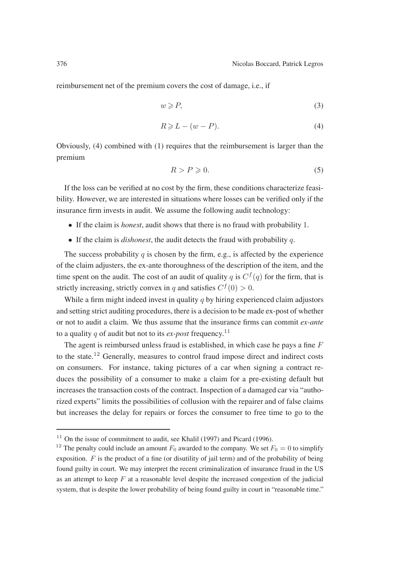reimbursement net of the premium covers the cost of damage, i.e., if

$$
w \geqslant P,\tag{3}
$$

$$
R \geqslant L - (w - P). \tag{4}
$$

Obviously, (4) combined with (1) requires that the reimbursement is larger than the premium

$$
R > P \geqslant 0. \tag{5}
$$

If the loss can be verified at no cost by the firm, these conditions characterize feasibility. However, we are interested in situations where losses can be verified only if the insurance firm invests in audit. We assume the following audit technology:

- If the claim is *honest*, audit shows that there is no fraud with probability 1.
- If the claim is *dishonest*, the audit detects the fraud with probability q.

The success probability  $q$  is chosen by the firm, e.g., is affected by the experience of the claim adjusters, the ex-ante thoroughness of the description of the item, and the time spent on the audit. The cost of an audit of quality q is  $C<sup>f</sup>(q)$  for the firm, that is strictly increasing, strictly convex in q and satisfies  $C^{f}(0) > 0$ .

While a firm might indeed invest in quality  $q$  by hiring experienced claim adjustors and setting strict auditing procedures, there is a decision to be made ex-post of whether or not to audit a claim. We thus assume that the insurance firms can commit *ex-ante* to a quality q of audit but not to its  $ex\text{-}post$  frequency.<sup>11</sup>

The agent is reimbursed unless fraud is established, in which case he pays a fine  $F$ to the state.<sup>12</sup> Generally, measures to control fraud impose direct and indirect costs on consumers. For instance, taking pictures of a car when signing a contract reduces the possibility of a consumer to make a claim for a pre-existing default but increases the transaction costs of the contract. Inspection of a damaged car via "authorized experts" limits the possibilities of collusion with the repairer and of false claims but increases the delay for repairs or forces the consumer to free time to go to the

 $11$  On the issue of commitment to audit, see Khalil (1997) and Picard (1996).

<sup>&</sup>lt;sup>12</sup> The penalty could include an amount  $F_0$  awarded to the company. We set  $F_0 = 0$  to simplify exposition.  $F$  is the product of a fine (or disutility of jail term) and of the probability of being found guilty in court. We may interpret the recent criminalization of insurance fraud in the US as an attempt to keep  $F$  at a reasonable level despite the increased congestion of the judicial system, that is despite the lower probability of being found guilty in court in "reasonable time."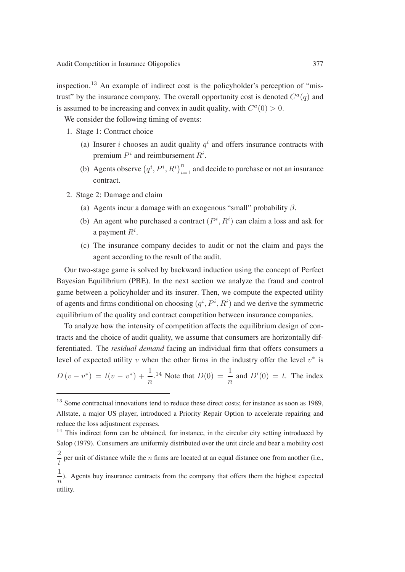inspection.<sup>13</sup> An example of indirect cost is the policyholder's perception of "mistrust" by the insurance company. The overall opportunity cost is denoted  $C<sup>a</sup>(q)$  and is assumed to be increasing and convex in audit quality, with  $C^a(0) > 0$ .

We consider the following timing of events:

- 1. Stage 1: Contract choice
	- (a) Insurer *i* chooses an audit quality  $q<sup>i</sup>$  and offers insurance contracts with premium  $P<sup>i</sup>$  and reimbursement  $R<sup>i</sup>$ .
	- (b) Agents observe  $(q^i, P^i, R^i)_{i=1}^n$  and decide to purchase or not an insurance contract.
- 2. Stage 2: Damage and claim
	- (a) Agents incur a damage with an exogenous "small" probability  $\beta$ .
	- (b) An agent who purchased a contract  $(P^i, R^i)$  can claim a loss and ask for a payment  $R^i$ .
	- (c) The insurance company decides to audit or not the claim and pays the agent according to the result of the audit.

Our two-stage game is solved by backward induction using the concept of Perfect Bayesian Equilibrium (PBE). In the next section we analyze the fraud and control game between a policyholder and its insurer. Then, we compute the expected utility of agents and firms conditional on choosing  $(q^i, P^i, R^i)$  and we derive the symmetric equilibrium of the quality and contract competition between insurance companies.

To analyze how the intensity of competition affects the equilibrium design of contracts and the choice of audit quality, we assume that consumers are horizontally differentiated. The *residual demand* facing an individual firm that offers consumers a level of expected utility v when the other firms in the industry offer the level  $v^*$  is

$$
D(v - v^*) = t(v - v^*) + \frac{1}{n}^{1.14}
$$
 Note that  $D(0) = \frac{1}{n}$  and  $D'(0) = t$ . The index

 $13$  Some contractual innovations tend to reduce these direct costs; for instance as soon as 1989, Allstate, a major US player, introduced a Priority Repair Option to accelerate repairing and reduce the loss adjustment expenses.

 $14$  This indirect form can be obtained, for instance, in the circular city setting introduced by Salop (1979). Consumers are uniformly distributed over the unit circle and bear a mobility cost

 $\frac{2}{t}$  per unit of distance while the *n* firms are located at an equal distance one from another (i.e.,

 $\frac{1}{n}$ ). Agents buy insurance contracts from the company that offers them the highest expected utility.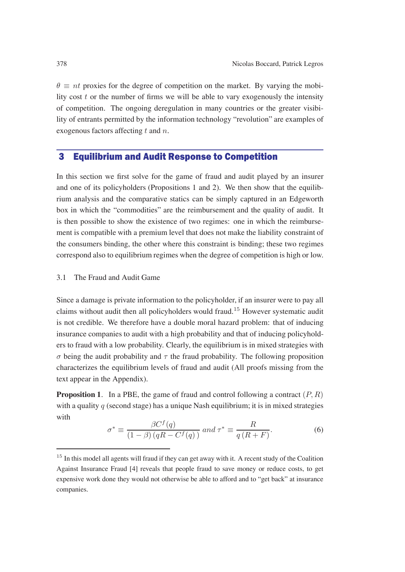$\theta \equiv nt$  proxies for the degree of competition on the market. By varying the mobility cost  $t$  or the number of firms we will be able to vary exogenously the intensity of competition. The ongoing deregulation in many countries or the greater visibility of entrants permitted by the information technology "revolution" are examples of exogenous factors affecting  $t$  and  $n$ .

# 3 Equilibrium and Audit Response to Competition

In this section we first solve for the game of fraud and audit played by an insurer and one of its policyholders (Propositions 1 and 2). We then show that the equilibrium analysis and the comparative statics can be simply captured in an Edgeworth box in which the "commodities" are the reimbursement and the quality of audit. It is then possible to show the existence of two regimes: one in which the reimbursement is compatible with a premium level that does not make the liability constraint of the consumers binding, the other where this constraint is binding; these two regimes correspond also to equilibrium regimes when the degree of competition is high or low.

### 3.1 The Fraud and Audit Game

Since a damage is private information to the policyholder, if an insurer were to pay all claims without audit then all policyholders would fraud.<sup>15</sup> However systematic audit is not credible. We therefore have a double moral hazard problem: that of inducing insurance companies to audit with a high probability and that of inducing policyholders to fraud with a low probability. Clearly, the equilibrium is in mixed strategies with σ being the audit probability and τ the fraud probability. The following proposition characterizes the equilibrium levels of fraud and audit (All proofs missing from the text appear in the Appendix).

**Proposition 1.** In a PBE, the game of fraud and control following a contract  $(P, R)$ with a quality  $q$  (second stage) has a unique Nash equilibrium; it is in mixed strategies with

$$
\sigma^* \equiv \frac{\beta C^f(q)}{(1-\beta)(qR - C^f(q))} \text{ and } \tau^* \equiv \frac{R}{q(R+F)}.
$$
 (6)

 $15$  In this model all agents will fraud if they can get away with it. A recent study of the Coalition Against Insurance Fraud [4] reveals that people fraud to save money or reduce costs, to get expensive work done they would not otherwise be able to afford and to "get back" at insurance companies.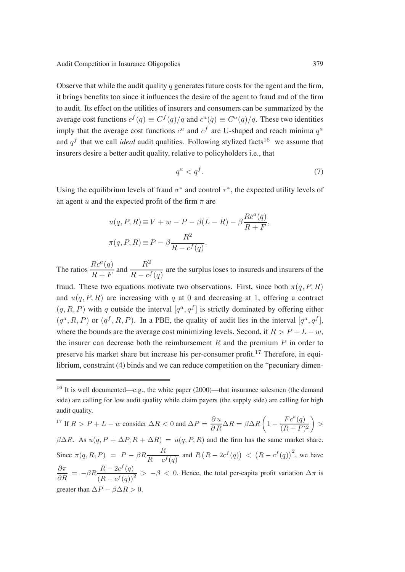Observe that while the audit quality q generates future costs for the agent and the firm, it brings benefits too since it influences the desire of the agent to fraud and of the firm to audit. Its effect on the utilities of insurers and consumers can be summarized by the average cost functions  $c^f(q) \equiv C^f(q)/q$  and  $c^a(q) \equiv C^a(q)/q$ . These two identities imply that the average cost functions  $c^a$  and  $c^f$  are U-shaped and reach minima  $q^a$ and  $q<sup>f</sup>$  that we call *ideal* audit qualities. Following stylized facts<sup>16</sup> we assume that insurers desire a better audit quality, relative to policyholders i.e., that

$$
q^a < q^f. \tag{7}
$$

Using the equilibrium levels of fraud  $\sigma^*$  and control  $\tau^*$ , the expected utility levels of an agent u and the expected profit of the firm  $\pi$  are

$$
u(q, P, R) \equiv V + w - P - \beta(L - R) - \beta \frac{R c^a(q)}{R + F},
$$
  

$$
\pi(q, P, R) \equiv P - \beta \frac{R^2}{R - c^f(q)}.
$$

The ratios  $\frac{Rc^a(q)}{R+F}$  and  $\frac{R^2}{R-c^f(q)}$  are the surplus loses to insureds and insurers of the fraud. These two equations motivate two observations. First, since both  $\pi(q, P, R)$ and  $u(q, P, R)$  are increasing with q at 0 and decreasing at 1, offering a contract  $(q, R, P)$  with q outside the interval  $[q^a, q^f]$  is strictly dominated by offering either  $(q^a, R, P)$  or  $(q^f, R, P)$ . In a PBE, the quality of audit lies in the interval  $[q^a, q^f]$ , where the bounds are the average cost minimizing levels. Second, if  $R > P + L - w$ , the insurer can decrease both the reimbursement  $R$  and the premium  $P$  in order to preserve his market share but increase his per-consumer profit.<sup>17</sup> Therefore, in equilibrium, constraint (4) binds and we can reduce competition on the "pecuniary dimen-

$$
{}^{17} \text{ If } R > P + L - w \text{ consider } \Delta R < 0 \text{ and } \Delta P = \frac{\partial u}{\partial R} \Delta R = \beta \Delta R \left( 1 - \frac{Fc^a(q)}{(R+F)^2} \right) > \tag{8.17}
$$

 $\beta \Delta R$ . As  $u(q, P + \Delta P, R + \Delta R) = u(q, P, R)$  and the firm has the same market share. Since  $\pi(q, R, P) = P - \beta R \frac{R}{R - c^f(q)}$  and  $R(R - 2c^f(q)) < (R - c^f(q))^2$ , we have  $\frac{\partial \pi}{\partial R} = -\beta R \frac{R - 2c^f(q)}{(R - c^f(q))^2} > -\beta < 0$ . Hence, the total per-capita profit variation  $\Delta \pi$  is greater than  $\Delta P - \beta \Delta R > 0$ .

<sup>&</sup>lt;sup>16</sup> It is well documented—e.g., the white paper (2000)—that insurance salesmen (the demand side) are calling for low audit quality while claim payers (the supply side) are calling for high audit quality.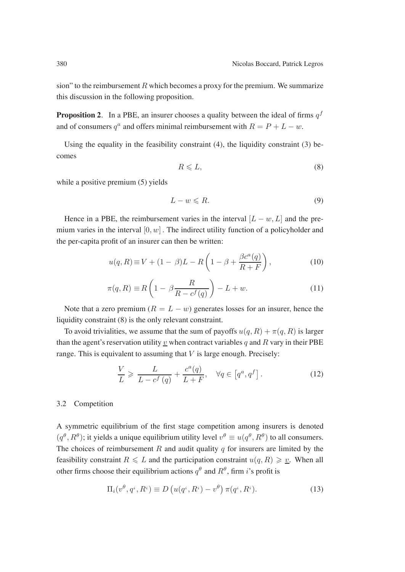sion" to the reimbursement  $R$  which becomes a proxy for the premium. We summarize this discussion in the following proposition.

**Proposition 2.** In a PBE, an insurer chooses a quality between the ideal of firms  $q<sup>f</sup>$ and of consumers  $q^a$  and offers minimal reimbursement with  $R = P + L - w$ .

Using the equality in the feasibility constraint  $(4)$ , the liquidity constraint  $(3)$  becomes

$$
R \leqslant L,\tag{8}
$$

while a positive premium  $(5)$  yields

$$
L - w \leqslant R. \tag{9}
$$

Hence in a PBE, the reimbursement varies in the interval  $[L - w, L]$  and the premium varies in the interval  $[0, w]$ . The indirect utility function of a policyholder and the per-capita profit of an insurer can then be written:

$$
u(q, R) \equiv V + (1 - \beta)L - R\left(1 - \beta + \frac{\beta c^a(q)}{R + F}\right),\tag{10}
$$

$$
\pi(q, R) \equiv R\left(1 - \beta \frac{R}{R - c^f(q)}\right) - L + w.
$$
\n(11)

Note that a zero premium ( $R = L - w$ ) generates losses for an insurer, hence the liquidity constraint (8) is the only relevant constraint.

To avoid trivialities, we assume that the sum of payoffs  $u(q, R) + \pi(q, R)$  is larger than the agent's reservation utility v when contract variables q and R vary in their PBE range. This is equivalent to assuming that  $V$  is large enough. Precisely:

$$
\frac{V}{L} \geqslant \frac{L}{L - c^f(q)} + \frac{c^a(q)}{L + F}, \quad \forall q \in \left[q^a, q^f\right].
$$
\n(12)

### 3.2 Competition

A symmetric equilibrium of the first stage competition among insurers is denoted  $(q^{\theta}, R^{\theta})$ ; it yields a unique equilibrium utility level  $v^{\theta} \equiv u(q^{\theta}, R^{\theta})$  to all consumers. The choices of reimbursement  $R$  and audit quality  $q$  for insurers are limited by the feasibility constraint  $R \le L$  and the participation constraint  $u(q, R) \geqslant \underline{v}$ . When all other firms choose their equilibrium actions  $q^{\theta}$  and  $R^{\theta}$ , firm i's profit is

$$
\Pi_i(v^\theta, q^i, R^i) \equiv D\left(u(q^i, R^i) - v^\theta\right)\pi(q^i, R^i). \tag{13}
$$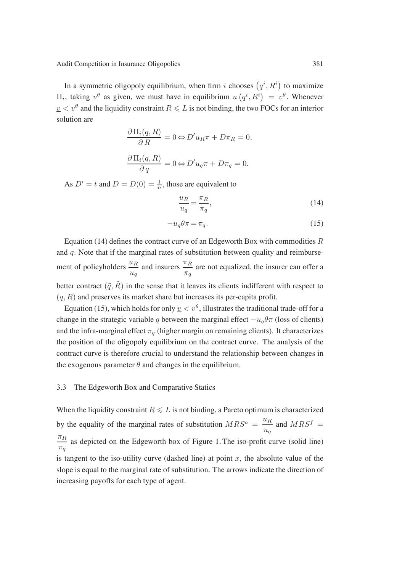In a symmetric oligopoly equilibrium, when firm i chooses  $(q^i, R^i)$  to maximize  $\Pi_i$ , taking  $v^{\theta}$  as given, we must have in equilibrium  $u(q^i, R^i) = v^{\theta}$ . Whenever  $v < v^{\theta}$  and the liquidity constraint  $R \leq L$  is not binding, the two FOCs for an interior solution are

$$
\frac{\partial \Pi_i(q, R)}{\partial R} = 0 \Leftrightarrow D'u_R\pi + D\pi_R = 0,
$$
  

$$
\frac{\partial \Pi_i(q, R)}{\partial q} = 0 \Leftrightarrow D'u_q\pi + D\pi_q = 0.
$$

As  $D' = t$  and  $D = D(0) = \frac{1}{n}$ , those are equivalent to

$$
\frac{u_R}{u_q} = \frac{\pi_R}{\pi_q},\tag{14}
$$

$$
-u_q \theta \pi = \pi_q. \tag{15}
$$

Equation (14) defines the contract curve of an Edgeworth Box with commodities  $R$ and  $q$ . Note that if the marginal rates of substitution between quality and reimbursement of policyholders  $\frac{u_R}{u_R}$  $u_q$ and insurers  $\frac{\pi_R}{\pi}$  $\frac{n}{\pi_q}$  are not equalized, the insurer can offer a better contract  $(\tilde{q}, \tilde{R})$  in the sense that it leaves its clients indifferent with respect to  $(q, R)$  and preserves its market share but increases its per-capita profit.

Equation (15), which holds for only  $\underline{v} < v^{\theta}$ , illustrates the traditional trade-off for a change in the strategic variable q between the marginal effect  $-u_q\theta\pi$  (loss of clients) and the infra-marginal effect  $\pi_q$  (higher margin on remaining clients). It characterizes the position of the oligopoly equilibrium on the contract curve. The analysis of the contract curve is therefore crucial to understand the relationship between changes in the exogenous parameter  $\theta$  and changes in the equilibrium.

#### 3.3 The Edgeworth Box and Comparative Statics

When the liquidity constraint  $R \leq L$  is not binding, a Pareto optimum is characterized by the equality of the marginal rates of substitution  $MRS^a = \frac{u_R}{u_q}$  and  $MRS^f =$  $\pi_R$  $\frac{n}{\pi q}$  as depicted on the Edgeworth box of Figure 1. The iso-profit curve (solid line) is tangent to the iso-utility curve (dashed line) at point  $x$ , the absolute value of the slope is equal to the marginal rate of substitution. The arrows indicate the direction of increasing payoffs for each type of agent.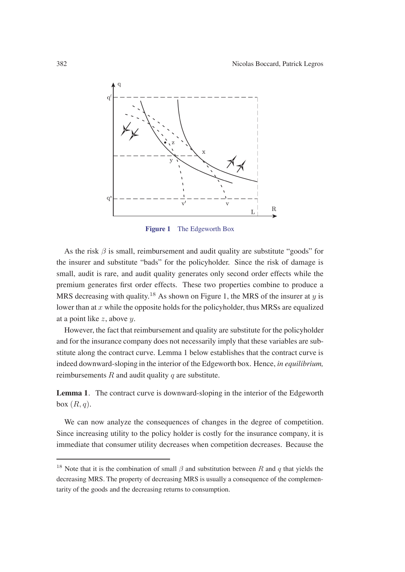

**Figure 1** The Edgeworth Box

As the risk  $\beta$  is small, reimbursement and audit quality are substitute "goods" for the insurer and substitute "bads" for the policyholder. Since the risk of damage is small, audit is rare, and audit quality generates only second order effects while the premium generates first order effects. These two properties combine to produce a MRS decreasing with quality.<sup>18</sup> As shown on Figure 1, the MRS of the insurer at y is lower than at  $x$  while the opposite holds for the policyholder, thus MRSs are equalized at a point like  $z$ , above  $y$ .

However, the fact that reimbursement and quality are substitute for the policyholder and for the insurance company does not necessarily imply that these variables are substitute along the contract curve. Lemma 1 below establishes that the contract curve is indeed downward-sloping in the interior of the Edgeworth box. Hence, *in equilibrium,* reimbursements  $R$  and audit quality  $q$  are substitute.

**Lemma 1***.* The contract curve is downward-sloping in the interior of the Edgeworth box  $(R, q)$ .

We can now analyze the consequences of changes in the degree of competition. Since increasing utility to the policy holder is costly for the insurance company, it is immediate that consumer utility decreases when competition decreases. Because the

<sup>&</sup>lt;sup>18</sup> Note that it is the combination of small  $\beta$  and substitution between R and q that yields the decreasing MRS. The property of decreasing MRS is usually a consequence of the complementarity of the goods and the decreasing returns to consumption.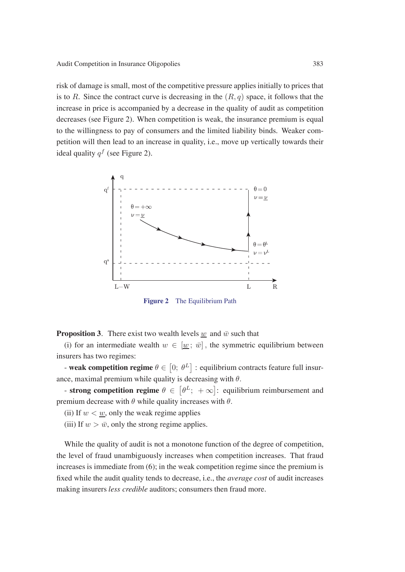risk of damage is small, most of the competitive pressure applies initially to prices that is to R. Since the contract curve is decreasing in the  $(R, q)$  space, it follows that the increase in price is accompanied by a decrease in the quality of audit as competition decreases (see Figure 2). When competition is weak, the insurance premium is equal to the willingness to pay of consumers and the limited liability binds. Weaker competition will then lead to an increase in quality, i.e., move up vertically towards their ideal quality  $q^f$  (see Figure 2).



**Figure 2** The Equilibrium Path

**Proposition 3**. There exist two wealth levels w and  $\bar{w}$  such that

(i) for an intermediate wealth  $w \in [w; \bar{w}]$ , the symmetric equilibrium between insurers has two regimes:

- **weak competition regime**  $\theta \in [0; \theta^L]$  : equilibrium contracts feature full insurance, maximal premium while quality is decreasing with  $\theta$ .

- **strong competition regime**  $\theta \in [\theta^L; +\infty]$ : equilibrium reimbursement and premium decrease with  $\theta$  while quality increases with  $\theta$ .

(ii) If  $w < w$ , only the weak regime applies

(iii) If  $w > \bar{w}$ , only the strong regime applies.

While the quality of audit is not a monotone function of the degree of competition, the level of fraud unambiguously increases when competition increases. That fraud increases is immediate from (6); in the weak competition regime since the premium is fixed while the audit quality tends to decrease, i.e., the *average cost* of audit increases making insurers *less credible* auditors; consumers then fraud more.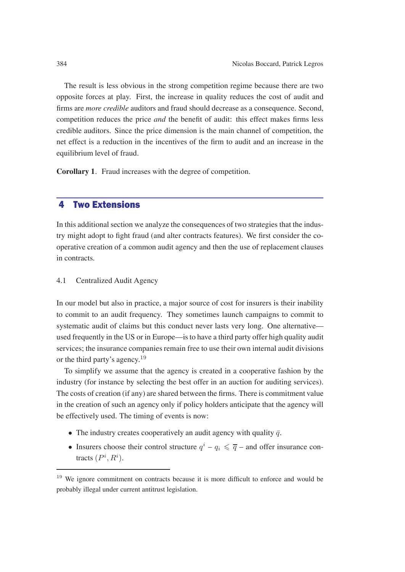The result is less obvious in the strong competition regime because there are two opposite forces at play. First, the increase in quality reduces the cost of audit and firms are *more credible* auditors and fraud should decrease as a consequence. Second, competition reduces the price *and* the benefit of audit: this effect makes firms less credible auditors. Since the price dimension is the main channel of competition, the net effect is a reduction in the incentives of the firm to audit and an increase in the equilibrium level of fraud.

**Corollary 1***.* Fraud increases with the degree of competition.

# 4 Two Extensions

In this additional section we analyze the consequences of two strategies that the industry might adopt to fight fraud (and alter contracts features). We first consider the cooperative creation of a common audit agency and then the use of replacement clauses in contracts.

### 4.1 Centralized Audit Agency

In our model but also in practice, a major source of cost for insurers is their inability to commit to an audit frequency. They sometimes launch campaigns to commit to systematic audit of claims but this conduct never lasts very long. One alternative used frequently in the US or in Europe—is to have a third party offer high quality audit services; the insurance companies remain free to use their own internal audit divisions or the third party's agency.<sup>19</sup>

To simplify we assume that the agency is created in a cooperative fashion by the industry (for instance by selecting the best offer in an auction for auditing services). The costs of creation (if any) are shared between the firms. There is commitment value in the creation of such an agency only if policy holders anticipate that the agency will be effectively used. The timing of events is now:

- The industry creates cooperatively an audit agency with quality  $\bar{q}$ .
- Insurers choose their control structure  $q^{i} q_{i} \leq \overline{q}$  and offer insurance contracts  $(P^i, R^i)$ .

<sup>&</sup>lt;sup>19</sup> We ignore commitment on contracts because it is more difficult to enforce and would be probably illegal under current antitrust legislation.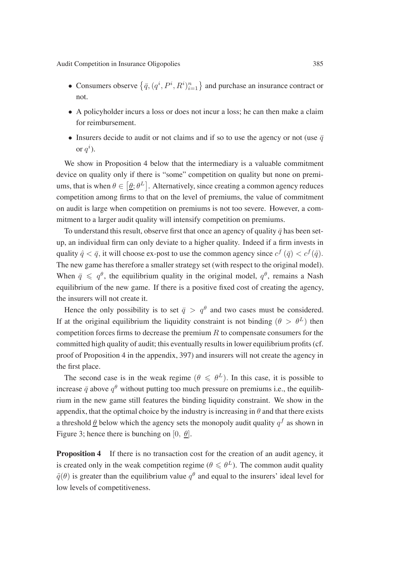- Consumers observe  $\{\bar{q}, (q^i, P^i, R^i)_{i=1}^n\}$  and purchase an insurance contract or not.
- A policyholder incurs a loss or does not incur a loss; he can then make a claim for reimbursement.
- Insurers decide to audit or not claims and if so to use the agency or not (use  $\bar{q}$ or  $q^i$ ).

We show in Proposition 4 below that the intermediary is a valuable commitment device on quality only if there is "some" competition on quality but none on premiums, that is when  $\theta \in [\underline{\theta}; \theta^L]$ . Alternatively, since creating a common agency reduces competition among firms to that on the level of premiums, the value of commitment on audit is large when competition on premiums is not too severe. However, a commitment to a larger audit quality will intensify competition on premiums.

To understand this result, observe first that once an agency of quality  $\bar{q}$  has been setup, an individual firm can only deviate to a higher quality. Indeed if a firm invests in quality  $\hat{q} < \bar{q}$ , it will choose ex-post to use the common agency since  $c^f(\bar{q}) < c^f(\hat{q})$ . The new game has therefore a smaller strategy set (with respect to the original model). When  $\bar{q} \leq q^{\theta}$ , the equilibrium quality in the original model,  $q^{\theta}$ , remains a Nash equilibrium of the new game. If there is a positive fixed cost of creating the agency, the insurers will not create it.

Hence the only possibility is to set  $\bar{q} > q^{\theta}$  and two cases must be considered. If at the original equilibrium the liquidity constraint is not binding ( $\theta > \theta^L$ ) then competition forces firms to decrease the premium  $R$  to compensate consumers for the committed high quality of audit; this eventually results in lower equilibrium profits (cf. proof of Proposition 4 in the appendix, 397) and insurers will not create the agency in the first place.

The second case is in the weak regime  $(\theta \le \theta^L)$ . In this case, it is possible to increase  $\bar{q}$  above  $q^{\theta}$  without putting too much pressure on premiums i.e., the equilibrium in the new game still features the binding liquidity constraint. We show in the appendix, that the optimal choice by the industry is increasing in  $\theta$  and that there exists a threshold  $\theta$  below which the agency sets the monopoly audit quality  $q^f$  as shown in Figure 3; hence there is bunching on [0,  $\theta$ ].

**Proposition 4** If there is no transaction cost for the creation of an audit agency, it is created only in the weak competition regime ( $\theta \le \theta^L$ ). The common audit quality  $\tilde{q}(\theta)$  is greater than the equilibrium value  $q^{\theta}$  and equal to the insurers' ideal level for low levels of competitiveness.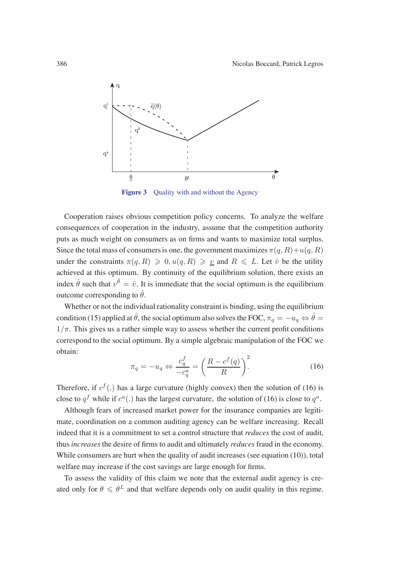

**Figure 3** Quality with and without the Agency

Cooperation raises obvious competition policy concerns. To analyze the welfare consequences of cooperation in the industry, assume that the competition authority puts as much weight on consumers as on firms and wants to maximize total surplus. Since the total mass of consumers is one, the government maximizes  $\pi(q, R) + u(q, R)$ under the constraints  $\pi(q, R) \geq 0, u(q, R) \geq v$  and  $R \leq L$ . Let  $\hat{v}$  be the utility achieved at this optimum. By continuity of the equilibrium solution, there exists an index  $\hat{\theta}$  such that  $v^{\hat{\theta}} = \hat{v}$ . It is immediate that the social optimum is the equilibrium outcome corresponding to  $\hat{\theta}$ .

Whether or not the individual rationality constraint is binding, using the equilibrium condition (15) applied at  $\hat{\theta}$ , the social optimum also solves the FOC,  $\pi_q = -u_q \Leftrightarrow \hat{\theta} =$  $1/\pi$ . This gives us a rather simple way to assess whether the current profit conditions correspond to the social optimum. By a simple algebraic manipulation of the FOC we obtain:

$$
\pi_q = -u_q \Leftrightarrow \frac{c_q^f}{-c_q^a} = \left(\frac{R - c^f(q)}{R}\right)^2.
$$
\n(16)

Therefore, if  $c^f$  (.) has a large curvature (highly convex) then the solution of (16) is close to  $q^f$  while if  $c^a$ .) has the largest curvature, the solution of (16) is close to  $q^a$ .

Although fears of increased market power for the insurance companies are legitimate, coordination on a common auditing agency can be welfare increasing. Recall indeed that it is a commitment to set a control structure that *reduces* the cost of audit, thus *increases* the desire of firms to audit and ultimately *reduces* fraud in the economy. While consumers are hurt when the quality of audit increases (see equation (10)), total welfare may increase if the cost savings are large enough for firms.

To assess the validity of this claim we note that the external audit agency is created only for  $\theta \le \theta^L$  and that welfare depends only on audit quality in this regime.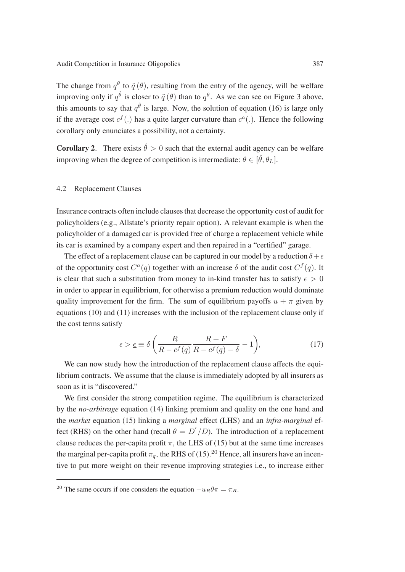The change from  $q^{\theta}$  to  $\tilde{q}(\theta)$ , resulting from the entry of the agency, will be welfare improving only if  $q^{\hat{\theta}}$  is closer to  $\tilde{q}(\theta)$  than to  $q^{\theta}$ . As we can see on Figure 3 above, this amounts to say that  $q^{\hat{\theta}}$  is large. Now, the solution of equation (16) is large only if the average cost  $c^f(.)$  has a quite larger curvature than  $c^a(.)$ . Hence the following corollary only enunciates a possibility, not a certainty.

**Corollary 2***.* There exists  $\hat{\theta} > 0$  such that the external audit agency can be welfare improving when the degree of competition is intermediate:  $\theta \in [\hat{\theta}, \theta_L]$ .

### 4.2 Replacement Clauses

Insurance contracts often include clauses that decrease the opportunity cost of audit for policyholders (e.g., Allstate's priority repair option). A relevant example is when the policyholder of a damaged car is provided free of charge a replacement vehicle while its car is examined by a company expert and then repaired in a "certified" garage.

The effect of a replacement clause can be captured in our model by a reduction  $\delta + \epsilon$ of the opportunity cost  $C^a(q)$  together with an increase  $\delta$  of the audit cost  $C^f(q)$ . It is clear that such a substitution from money to in-kind transfer has to satisfy  $\epsilon > 0$ in order to appear in equilibrium, for otherwise a premium reduction would dominate quality improvement for the firm. The sum of equilibrium payoffs  $u + \pi$  given by equations (10) and (11) increases with the inclusion of the replacement clause only if the cost terms satisfy

$$
\epsilon > \underline{\epsilon} \equiv \delta \left( \frac{R}{R - c^f(q)} \frac{R + F}{R - c^f(q) - \delta} - 1 \right),\tag{17}
$$

We can now study how the introduction of the replacement clause affects the equilibrium contracts. We assume that the clause is immediately adopted by all insurers as soon as it is "discovered."

We first consider the strong competition regime. The equilibrium is characterized by the *no-arbitrage* equation (14) linking premium and quality on the one hand and the *market* equation (15) linking a *marginal* effect (LHS) and an *infra-marginal* effect (RHS) on the other hand (recall  $\theta = D'/D$ ). The introduction of a replacement clause reduces the per-capita profit  $\pi$ , the LHS of (15) but at the same time increases the marginal per-capita profit  $\pi_q$ , the RHS of (15).<sup>20</sup> Hence, all insurers have an incentive to put more weight on their revenue improving strategies i.e., to increase either

<sup>&</sup>lt;sup>20</sup> The same occurs if one considers the equation  $-u_B\theta\pi = \pi_R$ .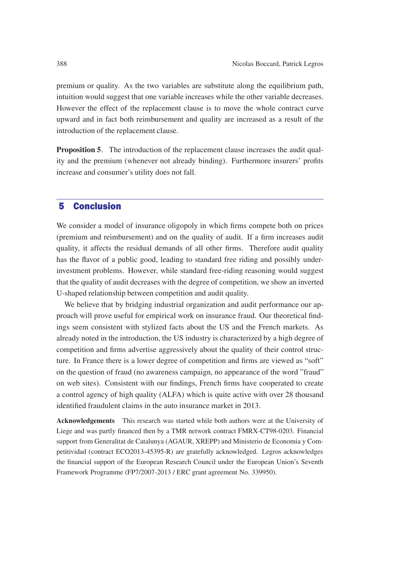premium or quality. As the two variables are substitute along the equilibrium path, intuition would suggest that one variable increases while the other variable decreases. However the effect of the replacement clause is to move the whole contract curve upward and in fact both reimbursement and quality are increased as a result of the introduction of the replacement clause.

**Proposition 5***.* The introduction of the replacement clause increases the audit quality and the premium (whenever not already binding). Furthermore insurers' profits increase and consumer's utility does not fall.

# 5 Conclusion

We consider a model of insurance oligopoly in which firms compete both on prices (premium and reimbursement) and on the quality of audit. If a firm increases audit quality, it affects the residual demands of all other firms. Therefore audit quality has the flavor of a public good, leading to standard free riding and possibly underinvestment problems. However, while standard free-riding reasoning would suggest that the quality of audit decreases with the degree of competition, we show an inverted U-shaped relationship between competition and audit quality.

We believe that by bridging industrial organization and audit performance our approach will prove useful for empirical work on insurance fraud. Our theoretical findings seem consistent with stylized facts about the US and the French markets. As already noted in the introduction, the US industry is characterized by a high degree of competition and firms advertise aggressively about the quality of their control structure. In France there is a lower degree of competition and firms are viewed as "soft" on the question of fraud (no awareness campaign, no appearance of the word "fraud" on web sites). Consistent with our findings, French firms have cooperated to create a control agency of high quality (ALFA) which is quite active with over 28 thousand identified fraudulent claims in the auto insurance market in 2013.

**Acknowledgements** This research was started while both authors were at the University of Liege and was partly financed then by a TMR network contract FMRX-CT98-0203. Financial support from Generalitat de Catalunya (AGAUR, XREPP) and Ministerio de Economia y Competitividad (contract ECO2013-45395-R) are gratefully acknowledged. Legros acknowledges the financial support of the European Research Council under the European Union's Seventh Framework Programme (FP7/2007-2013 / ERC grant agreement No. 339950).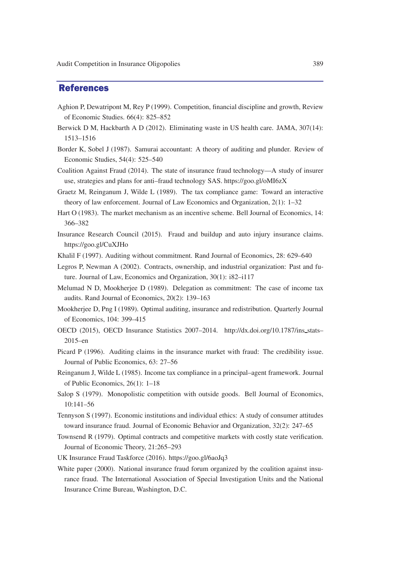## References

- Aghion P, Dewatripont M, Rey P (1999). Competition, financial discipline and growth, Review of Economic Studies. 66(4): 825–852
- Berwick D M, Hackbarth A D (2012). Eliminating waste in US health care. JAMA, 307(14): 1513–1516
- Border K, Sobel J (1987). Samurai accountant: A theory of auditing and plunder. Review of Economic Studies, 54(4): 525–540
- Coalition Against Fraud (2014). The state of insurance fraud technology—A study of insurer use, strategies and plans for anti–fraud technology SAS. https://goo.gl/oMI6zX
- Graetz M, Reinganum J, Wilde L (1989). The tax compliance game: Toward an interactive theory of law enforcement. Journal of Law Economics and Organization, 2(1): 1–32
- Hart O (1983). The market mechanism as an incentive scheme. Bell Journal of Economics, 14: 366–382
- Insurance Research Council (2015). Fraud and buildup and auto injury insurance claims. https://goo.gl/CuXJHo
- Khalil F (1997). Auditing without commitment. Rand Journal of Economics, 28: 629–640
- Legros P, Newman A (2002). Contracts, ownership, and industrial organization: Past and future. Journal of Law, Economics and Organization, 30(1): i82–i117
- Melumad N D, Mookherjee D (1989). Delegation as commitment: The case of income tax audits. Rand Journal of Economics, 20(2): 139–163
- Mookherjee D, Png I (1989). Optimal auditing, insurance and redistribution. Quarterly Journal of Economics, 104: 399–415
- OECD (2015), OECD Insurance Statistics 2007–2014. http://dx.doi.org/10.1787/ins stats– 2015–en
- Picard P (1996). Auditing claims in the insurance market with fraud: The credibility issue. Journal of Public Economics, 63: 27–56
- Reinganum J, Wilde L (1985). Income tax compliance in a principal–agent framework. Journal of Public Economics, 26(1): 1–18
- Salop S (1979). Monopolistic competition with outside goods. Bell Journal of Economics, 10:141–56
- Tennyson S (1997). Economic institutions and individual ethics: A study of consumer attitudes toward insurance fraud. Journal of Economic Behavior and Organization, 32(2): 247–65
- Townsend R (1979). Optimal contracts and competitive markets with costly state verification. Journal of Economic Theory, 21:265–293
- UK Insurance Fraud Taskforce (2016). https://goo.gl/6aoJq3
- White paper (2000). National insurance fraud forum organized by the coalition against insurance fraud. The International Association of Special Investigation Units and the National Insurance Crime Bureau, Washington, D.C.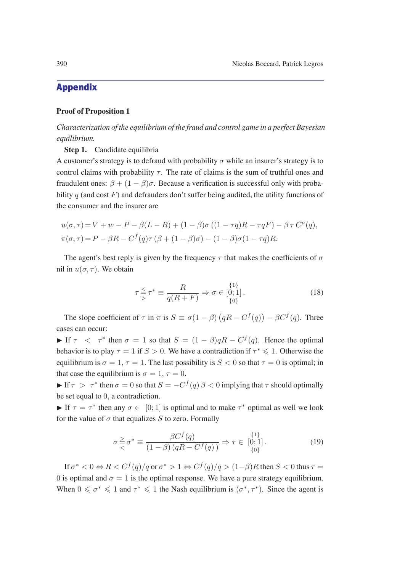# Appendix

### **Proof of Proposition 1**

*Characterization of the equilibrium of the fraud and control game in a perfect Bayesian equilibrium.*

**Step 1.** Candidate equilibria

A customer's strategy is to defraud with probability  $\sigma$  while an insurer's strategy is to control claims with probability  $\tau$ . The rate of claims is the sum of truthful ones and fraudulent ones:  $\beta + (1 - \beta)\sigma$ . Because a verification is successful only with probability  $q$  (and cost F) and defrauders don't suffer being audited, the utility functions of the consumer and the insurer are

$$
u(\sigma,\tau) = V + w - P - \beta(L-R) + (1-\beta)\sigma((1-\tau q)R - \tau qF) - \beta \tau C^a(q),
$$
  

$$
\pi(\sigma,\tau) = P - \beta R - C^f(q)\tau(\beta + (1-\beta)\sigma) - (1-\beta)\sigma(1-\tau q)R.
$$

The agent's best reply is given by the frequency  $\tau$  that makes the coefficients of  $\sigma$ nil in  $u(\sigma, \tau)$ . We obtain

$$
\tau \leq \tau^* \equiv \frac{R}{q(R+F)} \Rightarrow \sigma \in [0;1].
$$
\n(18)

The slope coefficient of  $\tau$  in  $\pi$  is  $S \equiv \sigma(1-\beta)(qR - C^{f}(q)) - \beta C^{f}(q)$ . Three cases can occur:

If  $\tau < \tau^*$  then  $\sigma = 1$  so that  $S = (1 - \beta) qR - C^f(q)$ . Hence the optimal behavior is to play  $\tau = 1$  if  $S > 0$ . We have a contradiction if  $\tau^* \leq 1$ . Otherwise the equilibrium is  $\sigma = 1$ ,  $\tau = 1$ . The last possibility is  $S < 0$  so that  $\tau = 0$  is optimal; in that case the equilibrium is  $\sigma = 1, \tau = 0$ .

If  $\tau > \tau^*$  then  $\sigma = 0$  so that  $S = -C^f(q) \beta < 0$  implying that  $\tau$  should optimally be set equal to 0, a contradiction.

If  $\tau = \tau^*$  then any  $\sigma \in [0; 1]$  is optimal and to make  $\tau^*$  optimal as well we look for the value of  $\sigma$  that equalizes S to zero. Formally

$$
\sigma \geq \sigma^* \equiv \frac{\beta C^f(q)}{(1-\beta)(qR - C^f(q))} \Rightarrow \tau \in [0;1].
$$
\n(19)

If  $\sigma^* < 0 \Leftrightarrow R < C^f(q)/q$  or  $\sigma^* > 1 \Leftrightarrow C^f(q)/q > (1-\beta)R$  then  $S < 0$  thus  $\tau =$ 0 is optimal and  $\sigma = 1$  is the optimal response. We have a pure strategy equilibrium. When  $0 \le \sigma^* \le 1$  and  $\tau^* \le 1$  the Nash equilibrium is  $(\sigma^*, \tau^*)$ . Since the agent is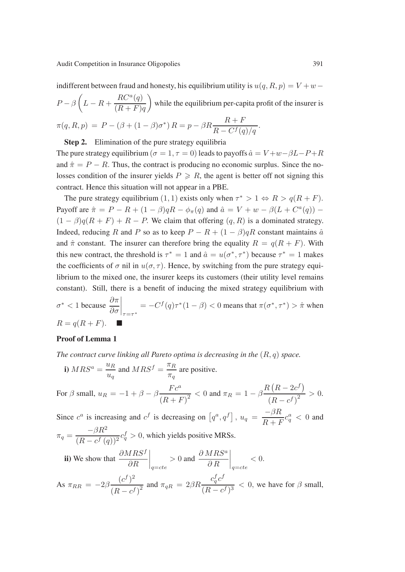indifferent between fraud and honesty, his equilibrium utility is  $u(q, R, p) = V + w P - \beta \left( L - R + \frac{RC^a(q)}{(R + E)} \right)$  $(R+F)q$  while the equilibrium per-capita profit of the insurer is  $\pi(q, R, p) = P - (\beta + (1 - \beta)\sigma^*) R = p - \beta R \frac{R + F}{R - C^f(q)/q}.$ 

**Step 2.** Elimination of the pure strategy equilibria

The pure strategy equilibrium ( $\sigma = 1, \tau = 0$ ) leads to payoffs  $\hat{a} = V + w - \beta L - P + R$ and  $\hat{\pi} = P - R$ . Thus, the contract is producing no economic surplus. Since the nolosses condition of the insurer yields  $P \ge R$ , the agent is better off not signing this contract. Hence this situation will not appear in a PBE.

The pure strategy equilibrium (1, 1) exists only when  $\tau^* > 1 \Leftrightarrow R > q(R + F)$ . Payoff are  $\hat{\pi} = P - R + (1 - \beta) qR - \phi_{\pi}(q)$  and  $\hat{a} = V + w - \beta (L + C^a(q))$  –  $(1 - \beta)q(R + F) + R - P$ . We claim that offering  $(q, R)$  is a dominated strategy. Indeed, reducing R and P so as to keep  $P - R + (1 - \beta) qR$  constant maintains  $\hat{a}$ and  $\hat{\pi}$  constant. The insurer can therefore bring the equality  $R = q(R + F)$ . With this new contract, the threshold is  $\tau^* = 1$  and  $\hat{a} = u(\sigma^*, \tau^*)$  because  $\tau^* = 1$  makes the coefficients of  $\sigma$  nil in  $u(\sigma, \tau)$ . Hence, by switching from the pure strategy equilibrium to the mixed one, the insurer keeps its customers (their utility level remains constant). Still, there is a benefit of inducing the mixed strategy equilibrium with  $\sigma^*$  < 1 because  $\frac{\partial \pi}{\partial \sigma}$  $\Big|_{\tau=\tau^*}$  $= -C^f(q)\tau^*(1-\beta) < 0$  means that  $\pi(\sigma^*, \tau^*) > \hat{\pi}$  when

$$
R = q(R + F). \quad \blacksquare
$$

### **Proof of Lemma 1**

*The contract curve linking all Pareto optima is decreasing in the* (R, q) *space.*

i) 
$$
MRS^a = \frac{u_R}{u_q}
$$
 and  $MRS^f = \frac{\pi_R}{\pi_q}$  are positive.

For 
$$
\beta
$$
 small,  $u_R = -1 + \beta - \beta \frac{Fc^a}{(R+F)^2} < 0$  and  $\pi_R = 1 - \beta \frac{R(R-2c^f)}{(R-c^f)^2} > 0$ .  
Since  $c^a$  is increasing and  $c^f$  is decreasing on  $[q^a, q^f]$ ,  $u_q = \frac{-\beta R}{R+F}c_q^a < 0$  and

$$
\pi_q = \frac{-\beta R^2}{(R - c^f(q))^2} c_q^f > 0
$$
, which yields positive MRSs.  
\n**ii)** We show that  $\frac{\partial MRS^f}{\partial R}\Big|_{q=cte} > 0$  and  $\frac{\partial MRS^a}{\partial R}\Big|_{q=cte} < 0$ .  
\nAs  $\pi_{RR} = -2\beta \frac{(c^f)^2}{(R - c^f)^2}$  and  $\pi_{qR} = 2\beta R \frac{c_q^f c^f}{(R - c^f)^3} < 0$ , we have for  $\beta$  small,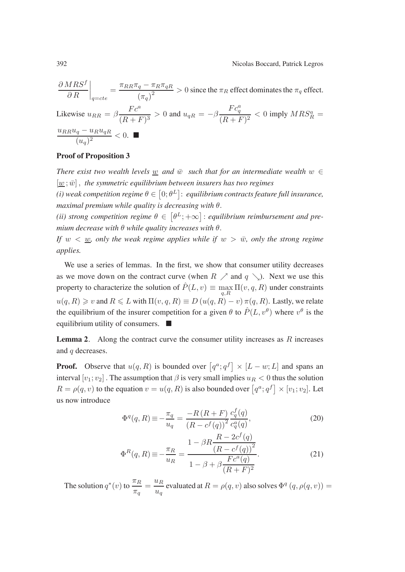$$
\frac{\partial MRS^f}{\partial R}\Big|_{q=cte} = \frac{\pi_{RR}\pi_q - \pi_R\pi_{qR}}{(\pi_q)^2} > 0
$$
 since the  $\pi_R$  effect dominates the  $\pi_q$  effect.  
\nLikewise  $u_{RR} = \beta \frac{Fc^a}{(R+F)^3} > 0$  and  $u_{qR} = -\beta \frac{Fc^a_q}{(R+F)^2} < 0$  imply  $MRS^a_R = \frac{u_{RR}u_q - u_Ru_{qR}}{(u_q)^2} < 0$ .

### **Proof of Proposition 3**

*There exist two wealth levels* w and  $\overline{w}$  *such that for an intermediate wealth*  $w \in$  $[\underline{w}; \bar{w}]$ , the symmetric equilibrium between insurers has two regimes

(i) weak competition regime  $\theta \in \left[0; \theta^L\right]$ : equilibrium contracts feature full insurance, *maximal premium while quality is decreasing with* θ.

(*ii*) strong competition regime  $\theta \in [\theta^L; +\infty]$ : equilibrium reimbursement and pre*mium decrease with* θ *while quality increases with* θ.

*If*  $w < w$ *, only the weak regime applies while if*  $w > \bar{w}$ *, only the strong regime applies.*

We use a series of lemmas. In the first, we show that consumer utility decreases as we move down on the contract curve (when  $R \nearrow$  and  $q \searrow$ ). Next we use this property to characterize the solution of  $\hat{P}(L, v) \equiv \max_{q, R} \Pi(v, q, R)$  under constraints  $u(q, R) \geqslant v$  and  $R \leqslant L$  with  $\Pi(v, q, R) \equiv D \left( u(q, R) - v \right) \pi(q, R)$ . Lastly, we relate the equilibrium of the insurer competition for a given  $\theta$  to  $\hat{P}(L, v^{\theta})$  where  $v^{\theta}$  is the equilibrium utility of consumers.  $\blacksquare$ 

**Lemma 2***.* Along the contract curve the consumer utility increases as R increases and q decreases.

**Proof.** Observe that  $u(q, R)$  is bounded over  $[q^a; q^f] \times [L - w; L]$  and spans an interval  $[v_1; v_2]$ . The assumption that  $\beta$  is very small implies  $u_R < 0$  thus the solution  $R = \rho(q, v)$  to the equation  $v = u(q, R)$  is also bounded over  $\left[q^a; q^f\right] \times \left[v_1; v_2\right]$ . Let us now introduce

$$
\Phi^{q}(q, R) \equiv -\frac{\pi_{q}}{u_{q}} = \frac{-R (R + F)}{(R - c^{f}(q))^{2}} \frac{c_{q}^{f}(q)}{c_{q}^{a}(q)},
$$
\n(20)

$$
\Phi^{R}(q, R) \equiv -\frac{\pi_{R}}{u_{R}} = \frac{1 - \beta R \frac{R - 2c^{f}(q)}{(R - c^{f}(q))^{2}}}{1 - \beta + \beta \frac{Fc^{a}(q)}{(R + F)^{2}}}.
$$
\n(21)

The solution  $q^*(v)$  to  $\frac{\pi_R}{\pi_q} = \frac{u_R}{u_q}$  evaluated at  $R = \rho(q, v)$  also solves  $\Phi^q(q, \rho(q, v)) =$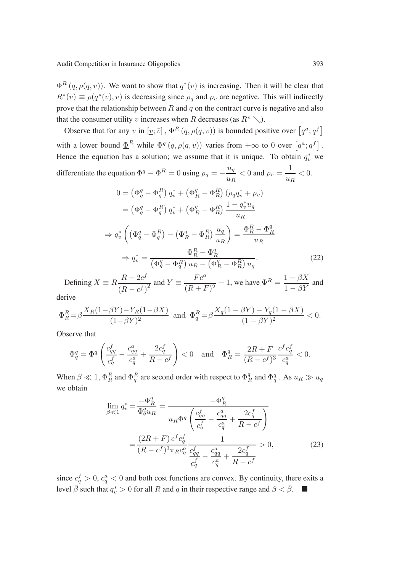$\Phi^R(q, \rho(q, v))$ . We want to show that  $q^*(v)$  is increasing. Then it will be clear that  $R^*(v) \equiv \rho(q^*(v), v)$  is decreasing since  $\rho_q$  and  $\rho_v$  are negative. This will indirectly prove that the relationship between  $R$  and  $q$  on the contract curve is negative and also that the consumer utility v increases when R decreases (as  $R^v \searrow$ ).

Observe that for any v in  $[\underline{v}; \overline{v}]$ ,  $\Phi^R(q, \rho(q, v))$  is bounded positive over  $[q^a; q^f]$ with a lower bound  $\underline{\Phi}^R$  while  $\Phi^q(q, \rho(q, v))$  varies from  $+\infty$  to 0 over  $[q^a; q^f]$ . Hence the equation has a solution; we assume that it is unique. To obtain  $q_v^*$  we differentiate the equation  $\Phi^q - \Phi^R = 0$  using  $\rho_q = -\frac{u_q}{u_R} < 0$  and  $\rho_v = \frac{1}{u_R} < 0$ .

$$
0 = \left(\Phi_q^q - \Phi_q^R\right) q_v^* + \left(\Phi_R^q - \Phi_R^R\right) \left(\rho_q q_v^* + \rho_v\right)
$$
  
\n
$$
= \left(\Phi_q^q - \Phi_q^R\right) q_v^* + \left(\Phi_R^q - \Phi_R^R\right) \frac{1 - q_v^* u_q}{u_R}
$$
  
\n
$$
\Rightarrow q_v^* \left(\left(\Phi_q^q - \Phi_q^R\right) - \left(\Phi_R^q - \Phi_R^R\right) \frac{u_q}{u_R}\right) = \frac{\Phi_R^R - \Phi_R^q}{u_R}
$$
  
\n
$$
\Rightarrow q_v^* = \frac{\Phi_R^R - \Phi_R^q}{\left(\Phi_q^q - \Phi_q^R\right) u_R - \left(\Phi_R^q - \Phi_R^R\right) u_q}.
$$
\n(22)

Defining  $X = R \frac{R - 2c^f}{r}$  $\frac{R-2c^f}{(R-c^f)^2}$  and  $Y \equiv \frac{Fc^a}{(R+F)^2} - 1$ , we have  $\Phi^R = \frac{1-\beta X}{1-\beta Y}$  and

derive

$$
\Phi_R^R = \beta \frac{X_R(1 - \beta Y) - Y_R(1 - \beta X)}{(1 - \beta Y)^2} \text{ and } \Phi_q^R = \beta \frac{X_q(1 - \beta Y) - Y_q(1 - \beta X)}{(1 - \beta Y)^2} < 0.
$$

Observe that

$$
\Phi_q^q = \Phi^q \left( \frac{c_{qq}^f}{c_q^f} - \frac{c_{qq}^a}{c_q^a} + \frac{2c_q^f}{R - c^f} \right) < 0 \quad \text{and} \quad \Phi_R^q = \frac{2R + F}{(R - c^f)^3} \frac{c^f c_q^f}{c_q^a} < 0.
$$

When  $\beta \ll 1$ ,  $\Phi_R^R$  and  $\Phi_q^R$  are second order with respect to  $\Phi_R^q$  and  $\Phi_q^q$ . As  $u_R \gg u_q$ we obtain

$$
\lim_{\beta \ll 1} q_v^* = \frac{-\Phi_R^q}{\Phi_q^q u_R} = \frac{-\Phi_R^q}{u_R \Phi^q \left(\frac{c_{qq}^f}{c_q^f} - \frac{c_{qq}^a}{c_q^a} + \frac{2c_q^f}{R - c^f}\right)} \n= \frac{(2R + F) c^f c_q^f}{(R - c^f)^3 \pi_R c_q^a} \frac{1}{\frac{c_{qq}^f}{c_q^a} - \frac{c_{qq}^a}{c_q^a} + \frac{2c_q^f}{R - c^f}} > 0,
$$
\n(23)

since  $c_q^f > 0$ ,  $c_q^a < 0$  and both cost functions are convex. By continuity, there exits a level  $\bar{\beta}$  such that  $q_v^* > 0$  for all R and q in their respective range and  $\beta < \bar{\beta}$ .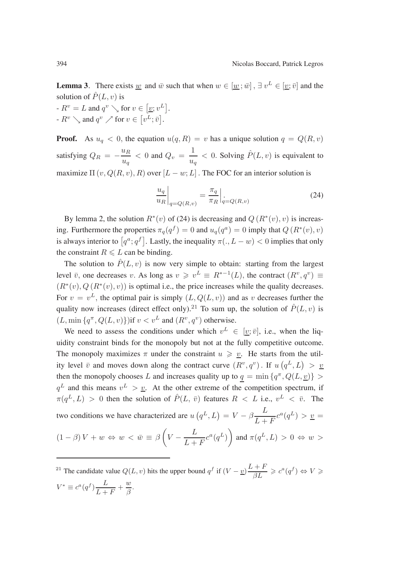**Lemma 3***.* There exists <u>w</u> and  $\bar{w}$  such that when  $w \in [\underline{w}; \bar{w}]$ ,  $\exists v^L \in [\underline{v}; \bar{v}]$  and the solution of  $\hat{P}(L, v)$  is

 $-R^v = L$  and  $q^v \searrow$  for  $v \in [v; v^L]$ .  $-R^v \searrow$  and  $q^v \nearrow$  for  $v \in [v^L; \bar{v}]$ .

**Proof.** As  $u_q < 0$ , the equation  $u(q, R) = v$  has a unique solution  $q = Q(R, v)$ satisfying  $Q_R = -\frac{u_R}{u_q} < 0$  and  $Q_v = \frac{1}{u_q} < 0$ . Solving  $\hat{P}(L, v)$  is equivalent to maximize  $\Pi(v, Q(R, v), R)$  over  $[L - w; L]$ . The FOC for an interior solution is

$$
\left. \frac{u_q}{u_R} \right|_{q = Q(R,v)} = \left. \frac{\pi_q}{\pi_R} \right|_{q = Q(R,v)} \tag{24}
$$

By lemma 2, the solution  $R^*(v)$  of (24) is decreasing and  $Q(R^*(v), v)$  is increasing. Furthermore the properties  $\pi_q(q^f) = 0$  and  $u_q(q^a) = 0$  imply that  $Q(R^*(v), v)$ is always interior to  $\lceil q^a; q^f \rceil$ . Lastly, the inequality  $\pi(.,L-w) < 0$  implies that only the constraint  $R \le L$  can be binding.

The solution to  $\hat{P}(L, v)$  is now very simple to obtain: starting from the largest level  $\bar{v}$ , one decreases v. As long as  $v \geq v^L \equiv R^{*-1}(L)$ , the contract  $(R^v, q^v) \equiv$  $(R^*(v), Q(R^*(v), v))$  is optimal i.e., the price increases while the quality decreases. For  $v = v^L$ , the optimal pair is simply  $(L, Q(L, v))$  and as v decreases further the quality now increases (direct effect only).<sup>21</sup> To sum up, the solution of  $\hat{P}(L, v)$  is  $(L, \min\{q^{\pi}, Q(L, v)\})$ if  $v < v^L$  and  $(R^v, q^v)$  otherwise.

We need to assess the conditions under which  $v^L \in [v; \bar{v}]$ , i.e., when the liquidity constraint binds for the monopoly but not at the fully competitive outcome. The monopoly maximizes  $\pi$  under the constraint  $u \geqslant \underline{v}$ . He starts from the utility level  $\bar{v}$  and moves down along the contract curve  $(R^v, q^v)$ . If  $u(q^L, L) > v$ then the monopoly chooses L and increases quality up to  $q = \min\{q^{\pi}, Q(L, \underline{v})\} >$  $q^L$  and this means  $v^L > v$ . At the other extreme of the competition spectrum, if  $\pi(q^L, L) > 0$  then the solution of  $\hat{P}(L, \bar{v})$  features  $R < L$  i.e.,  $v^L < \bar{v}$ . The two conditions we have characterized are  $u(q^L, L) = V - \beta \frac{L}{L+F} c^a(q^L) > \underline{v}$  $(1 - \beta) V + w \Leftrightarrow w < \bar{w} \equiv \beta \left( V - \frac{L}{L + F} c^a(q^L) \right)$  and  $\pi(q^L, L) > 0 \Leftrightarrow w > 0$ 

<sup>21</sup> The candidate value  $Q(L, v)$  hits the upper bound  $q^f$  if  $(V - \underline{v}) \frac{L+F}{\beta L} \geq c^a(q^f) \Leftrightarrow V \geq$ 

$$
V^* \equiv c^a(q^f) \frac{L}{L+F} + \frac{w}{\beta}.
$$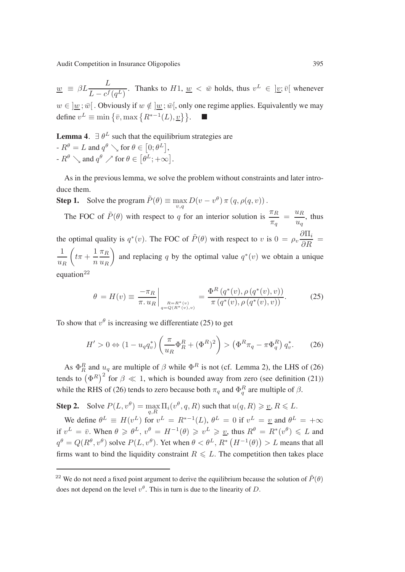Audit Competition in Insurance Oligopolies 395

 $\underline{w} \equiv \beta L \frac{L}{L - c^f(q^L)}$ . Thanks to  $H1$ ,  $\underline{w} < \overline{w}$  holds, thus  $v^L \in \underline{w}$ ;  $\overline{v}$  whenever  $w \in \underline{w}$ ;  $\overline{w}$ [. Obviously if  $w \notin \underline{w}$ ;  $\overline{w}$ [, only one regime applies. Equivalently we may define  $v^L \equiv \min \left\{ \bar{v}, \max \left\{ R^{*-1}(L), \underline{v} \right\} \right\}.$  ■

**Lemma 4.**  $\exists \theta^L$  such that the equilibrium strategies are

 $-R^{\theta} = L$  and  $q^{\theta} \searrow$  for  $\theta \in [0; \theta^L],$  $-R^{\theta} \searrow$  and  $q^{\theta} \nearrow$  for  $\theta \in [\theta^L; +\infty]$ .

As in the previous lemma, we solve the problem without constraints and later introduce them.

**Step 1.** Solve the program  $\tilde{P}(\theta) \equiv \max_{v,q} D(v - v^{\theta}) \pi (q, \rho(q, v))$ .

The FOC of  $\tilde{P}(\theta)$  with respect to q for an interior solution is  $\frac{\pi_R}{\pi_q} = \frac{u_R}{u_q}$ , thus the optimal quality is  $q^*(v)$ . The FOC of  $\tilde{P}(\theta)$  with respect to v is  $0 = \rho_v \frac{\partial \Pi_i}{\partial R} =$ 1  $u_R$  $\left(t\pi+\frac{1}{\pi}\right)$ n  $\pi_R$  $u_R$ ) and replacing q by the optimal value  $q^*(v)$  we obtain a unique

equation $^{22}$ 

$$
\theta = H(v) \equiv \frac{-\pi_R}{\pi \cdot u_R} \bigg|_{\substack{R = R^*(v) \\ q = Q(R^*(v), v)}} = \frac{\Phi^R \left( q^*(v), \rho \left( q^*(v), v \right) \right)}{\pi \left( q^*(v), \rho \left( q^*(v), v \right) \right)}.
$$
 (25)

To show that  $v^{\theta}$  is increasing we differentiate (25) to get

$$
H' > 0 \Leftrightarrow (1 - u_q q_v^*) \left( \frac{\pi}{u_R} \Phi_R^R + (\Phi^R)^2 \right) > (\Phi^R \pi_q - \pi \Phi_q^R) q_v^*.
$$
 (26)

As  $\Phi_R^R$  and  $u_q$  are multiple of  $\beta$  while  $\Phi^R$  is not (cf. Lemma 2), the LHS of (26) tends to  $(\Phi^R)^2$  for  $\beta \ll 1$ , which is bounded away from zero (see definition (21)) while the RHS of (26) tends to zero because both  $\pi_q$  and  $\Phi_q^R$  are multiple of  $\beta$ .

**Step 2.** Solve  $P(L, v^{\theta}) = \max_{q, R} \Pi_i(v^{\theta}, q, R)$  such that  $u(q, R) \geq \underline{v}, R \leq L$ .

We define  $\theta^L \equiv H(v^L)$  for  $v^L = R^{*-1}(L)$ ,  $\theta^L = 0$  if  $v^L = v$  and  $\theta^L = +\infty$ if  $v^L = \bar{v}$ . When  $\theta \geqslant \theta^L$ ,  $v^{\theta} = H^{-1}(\theta) \geqslant v^L \geqslant \underline{v}$ , thus  $R^{\theta} = R^*(v^{\theta}) \leqslant L$  and  $q^{\theta} = Q(R^{\theta}, v^{\theta})$  solve  $P(L, v^{\theta})$ . Yet when  $\theta < \theta^L$ ,  $R^* (H^{-1}(\theta)) > L$  means that all firms want to bind the liquidity constraint  $R \leq L$ . The competition then takes place

<sup>&</sup>lt;sup>22</sup> We do not need a fixed point argument to derive the equilibrium because the solution of  $\tilde{P}(\theta)$ does not depend on the level  $v^{\theta}$ . This in turn is due to the linearity of D.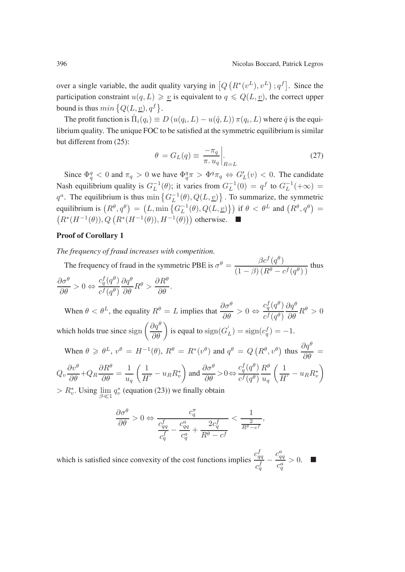$c_q^f(q^{\theta})$  $c^f(q^{\theta})$   $\frac{\partial q^{\theta}}{\partial \theta}R^{\theta} > 0$ 

over a single variable, the audit quality varying in  $[Q(R^*(v^L), v^L); q^f]$ . Since the participation constraint  $u(q, L) \geq v$  is equivalent to  $q \leq Q(L, v)$ , the correct upper bound is thus  $min\{Q(L, \underline{v}), q^f\}.$ 

The profit function is  $\hat{\Pi}_i(q_i) \equiv D(u(q_i, L) - u(\hat{q}, L)) \pi(q_i, L)$  where  $\hat{q}$  is the equilibrium quality. The unique FOC to be satisfied at the symmetric equilibrium is similar but different from (25):

$$
\theta = G_L(q) \equiv \frac{-\pi_q}{\pi \cdot u_q} \bigg|_{R=L} \tag{27}
$$

Since  $\Phi_q^q < 0$  and  $\pi_q > 0$  we have  $\Phi_q^q \pi > \Phi^q \pi_q \Leftrightarrow G'_L(v) < 0$ . The candidate Nash equilibrium quality is  $G_L^{-1}(\theta)$ ; it varies from  $G_L^{-1}(0) = q^f$  to  $G_L^{-1}(+\infty) =$  $q^a$ . The equilibrium is thus  $\min \{ G_L^{-1}(\theta), Q(L, \underline{v}) \}$ . To summarize, the symmetric equilibrium is  $(R^{\theta}, q^{\theta}) = (L, \min\{G_L^{-1}(\theta), Q(L, \underline{v})\})$  if  $\theta < \theta^L$  and  $(R^{\theta}, q^{\theta}) =$  $(R^*(H^{-1}(\theta)), Q(R^*(H^{-1}(\theta)), H^{-1}(\theta)))$  otherwise.  $\blacksquare$ 

### **Proof of Corollary 1**

*The frequency of fraud increases with competition.*

The frequency of fraud in the symmetric PBE is  $\sigma^{\theta} = \frac{\beta c^f(q^{\theta})}{(1-\beta)(R^{\theta} - c^f(q^{\theta}))}$  thus  $\partial \sigma^{\theta}$  $\partial R^\theta$ 

$$
\frac{\partial \sigma^{\theta}}{\partial \theta} > 0 \Leftrightarrow \frac{c_q^f(q^{\theta})}{c^f(q^{\theta})} \frac{\partial q^{\theta}}{\partial \theta} R^{\theta} > \frac{\partial R^{\theta}}{\partial \theta}.
$$
  
When  $\theta < \theta^L$ , the equality  $R^{\theta} = L$  implies that  $\frac{\partial \sigma^{\theta}}{\partial \theta} > 0 \Leftrightarrow$ 

which holds true since  $\text{sign}\left(\frac{\partial q^{\theta}}{\partial \theta}\right)$  is equal to  $\text{sign}(G'_{L}) = \text{sign}(c_{q}^{f}) = -1$ . When  $\theta \ge \theta^L$ ,  $v^{\theta} = H^{-1}(\theta)$ ,  $R^{\theta} = R^*(v^{\theta})$  and  $q^{\theta} = Q(R^{\theta}, v^{\theta})$  thus  $\frac{\partial q^{\theta}}{\partial \theta} =$  $c_q^f(q^{\theta}) R^{\theta}$  ( 1  $\setminus$ 

$$
Q_v \frac{\partial v^{\theta}}{\partial \theta} + Q_R \frac{\partial R^{\theta}}{\partial \theta} = \frac{1}{u_q} \left( \frac{1}{H'} - u_R R_v^* \right) \text{ and } \frac{\partial \sigma^{\theta}}{\partial \theta} > 0 \Leftrightarrow \frac{c_q^f(q^{\theta})}{c^f(q^{\theta})} \frac{R^{\theta}}{u_q} \left( \frac{1}{H'} - u_R R_v^* \right)
$$
  
>  $R^*$ . Using  $\lim_{\theta \to 0} a^*$  (equation (23)) we finally obtain

 $> R_v^*$ . Using  $\lim_{\beta \ll 1} q_v^*$  (equation (23)) we finally obtain

$$
\frac{\partial \sigma^{\theta}}{\partial \theta} > 0 \Leftrightarrow \frac{c_{qq}^{\pi}}{\frac{c_{qq}^f}{c_q^f} - \frac{c_{qq}^a}{c_q^a} + \frac{2c_q^f}{R^{\theta} - c^f}} < \frac{1}{\frac{2}{R^{\theta} - c^f}},
$$

which is satisfied since convexity of the cost functions implies  $\frac{c_{qq}^f}{f}$  $c_q^f$  $-\frac{c_{qq}^a}{a}$  $\frac{q}{c_q^a} > 0.$   $\blacksquare$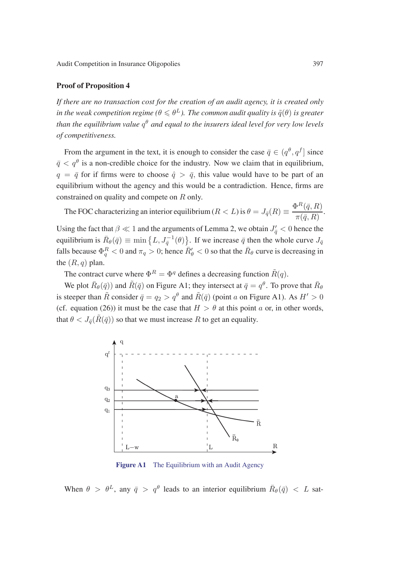#### **Proof of Proposition 4**

*If there are no transaction cost for the creation of an audit agency, it is created only in the weak competition regime (* $\theta \le \theta^L$ *). The common audit quality is*  $\tilde{q}(\theta)$  *is greater than the equilibrium value* q<sup>θ</sup> *and equal to the insurers ideal level for very low levels of competitiveness.*

From the argument in the text, it is enough to consider the case  $\bar{q} \in (q^{\theta}, q^f]$  since  $\bar{q} < q^{\theta}$  is a non-credible choice for the industry. Now we claim that in equilibrium,  $q = \bar{q}$  for if firms were to choose  $\hat{q} > \bar{q}$ , this value would have to be part of an equilibrium without the agency and this would be a contradiction. Hence, firms are constrained on quality and compete on R only.

The FOC characterizing an interior equilibrium ( $R < L$ ) is  $\theta = J_{\bar{q}}(R) \equiv \frac{\Phi^R(\bar{q}, R)}{\pi(\bar{q}, R)}$ .

Using the fact that  $\beta \ll 1$  and the arguments of Lemma 2, we obtain  $J_{\bar{q}}' < 0$  hence the equilibrium is  $\bar{R}_{\theta}(\bar{q}) \equiv \min \{ L, J_{\bar{q}}^{-1}(\theta) \}$ . If we increase  $\bar{q}$  then the whole curve  $J_{\bar{q}}$ falls because  $\Phi_q^R < 0$  and  $\pi_q > 0$ ; hence  $\bar{R}'_\theta < 0$  so that the  $\bar{R}_\theta$  curve is decreasing in the  $(R, q)$  plan.

The contract curve where  $\Phi^R = \Phi^q$  defines a decreasing function  $\tilde{R}(q)$ .

We plot  $\bar{R}_{\theta}(\bar{q})$  and  $\tilde{R}(\bar{q})$  on Figure A1; they intersect at  $\bar{q}=q^{\theta}$ . To prove that  $\bar{R}_{\theta}$ is steeper than  $\tilde{R}$  consider  $\bar{q} = q_2 > q^{\theta}$  and  $\tilde{R}(\bar{q})$  (point a on Figure A1). As  $H' > 0$ (cf. equation (26)) it must be the case that  $H > \theta$  at this point a or, in other words, that  $\theta < J_{\bar{q}}(\tilde{R}(\bar{q}))$  so that we must increase R to get an equality.



**Figure A1** The Equilibrium with an Audit Agency

When  $\theta > \theta^L$ , any  $\bar{q} > q^{\theta}$  leads to an interior equilibrium  $\bar{R}_{\theta}(\bar{q}) < L$  sat-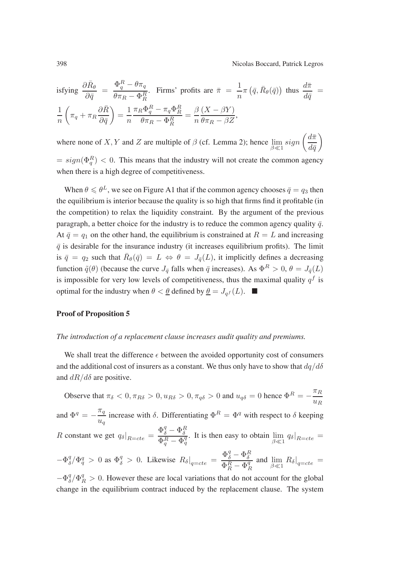isfying 
$$
\frac{\partial \bar{R}_{\theta}}{\partial \bar{q}} = \frac{\Phi_{q}^{R} - \theta \pi_{q}}{\theta \pi_{R} - \Phi_{R}^{R}}
$$
. Firms' profits are  $\bar{\pi} = \frac{1}{n} \pi (\bar{q}, \bar{R}_{\theta}(\bar{q}))$  thus  $\frac{d\bar{\pi}}{d\bar{q}} = \frac{1}{n} \left( \pi_{q} + \pi_{R} \frac{\partial \bar{R}}{\partial \bar{q}} \right) = \frac{1}{n} \frac{\pi_{R} \Phi_{q}^{R} - \pi_{q} \Phi_{R}^{R}}{\theta \pi_{R} - \Phi_{R}^{R}} = \frac{\beta}{n} \frac{(X - \beta Y)}{\theta \pi_{R} - \beta Z},$ 

where none of X, Y and Z are multiple of  $\beta$  (cf. Lemma 2); hence  $\lim_{\beta \ll 1} sign \left( \frac{d\bar{\pi}}{d\bar{q}} \right)$  $\setminus$ 

 $= sign(\Phi_q^R) < 0$ . This means that the industry will not create the common agency when there is a high degree of competitiveness.

When  $\theta \le \theta^L$ , we see on Figure A1 that if the common agency chooses  $\overline{q} = q_3$  then the equilibrium is interior because the quality is so high that firms find it profitable (in the competition) to relax the liquidity constraint. By the argument of the previous paragraph, a better choice for the industry is to reduce the common agency quality  $\bar{q}$ . At  $\bar{q} = q_1$  on the other hand, the equilibrium is constrained at  $R = L$  and increasing  $\bar{q}$  is desirable for the insurance industry (it increases equilibrium profits). The limit is  $\bar{q} = q_2$  such that  $\bar{R}_{\theta}(\bar{q}) = L \Leftrightarrow \theta = J_{\bar{q}}(L)$ , it implicitly defines a decreasing function  $\tilde{q}(\theta)$  (because the curve  $J_{\bar{q}}$  falls when  $\bar{q}$  increases). As  $\Phi^R > 0$ ,  $\theta = J_{\bar{q}}(L)$ is impossible for very low levels of competitiveness, thus the maximal quality  $q<sup>f</sup>$  is optimal for the industry when  $\theta < \underline{\theta}$  defined by  $\underline{\theta} = J_{qf}(L)$ .

#### **Proof of Proposition 5**

#### *The introduction of a replacement clause increases audit quality and premiums.*

We shall treat the difference  $\epsilon$  between the avoided opportunity cost of consumers and the additional cost of insurers as a constant. We thus only have to show that  $dq/d\delta$ and  $dR/d\delta$  are positive.

Observe that  $\pi_{\delta} < 0$ ,  $\pi_{R\delta} > 0$ ,  $u_{R\delta} > 0$ ,  $\pi_{q\delta} > 0$  and  $u_{q\delta} = 0$  hence  $\Phi^R = -\frac{\pi_R}{u_R}$ and  $\Phi^q = -\frac{\pi_q}{u_q}$  increase with  $\delta$ . Differentiating  $\Phi^R = \Phi^q$  with respect to  $\delta$  keeping R constant we get  $q_\delta|_{R=cte} = \frac{\Phi_\delta^q - \Phi_\delta^R}{\Phi_\delta^R - \Phi_\delta^q}$  $\frac{\partial^2 \delta}{\partial q^2 - \Phi_q^q}$ . It is then easy to obtain  $\lim_{\beta \ll 1} q_\delta|_{R = cte} =$  $-\Phi_{\delta}^q / \Phi_q^q > 0$  as  $\Phi_{\delta}^q > 0$ . Likewise  $R_{\delta}|_{q=cte} = \frac{\Phi_{\delta}^q - \Phi_{\delta}^R}{\Phi_R^R - \Phi_q^q}$ and  $\lim_{\beta \ll 1} R_{\delta}|_{q=cte}$  =  $-\Phi_{\delta}^q / \Phi_R^q > 0$ . However these are local variations that do not account for the global change in the equilibrium contract induced by the replacement clause. The system